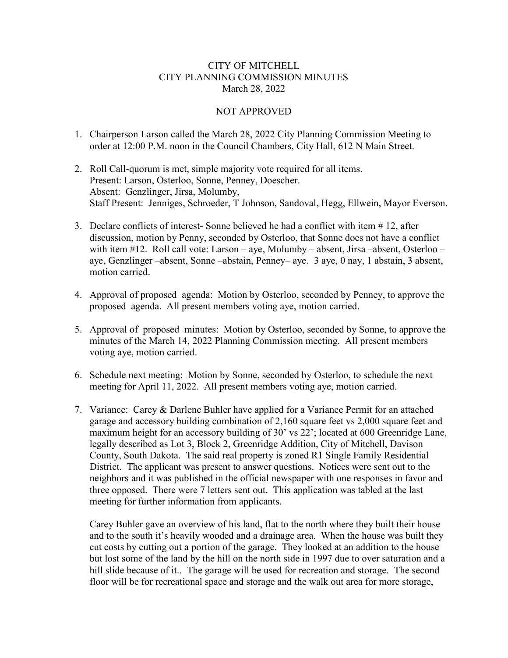## CITY OF MITCHELL CITY PLANNING COMMISSION MINUTES March 28, 2022

## NOT APPROVED

- 1. Chairperson Larson called the March 28, 2022 City Planning Commission Meeting to order at 12:00 P.M. noon in the Council Chambers, City Hall, 612 N Main Street.
- 2. Roll Call-quorum is met, simple majority vote required for all items. Present: Larson, Osterloo, Sonne, Penney, Doescher. Absent: Genzlinger, Jirsa, Molumby, Staff Present: Jenniges, Schroeder, T Johnson, Sandoval, Hegg, Ellwein, Mayor Everson.
- 3. Declare conflicts of interest- Sonne believed he had a conflict with item # 12, after discussion, motion by Penny, seconded by Osterloo, that Sonne does not have a conflict with item #12. Roll call vote: Larson – aye, Molumby – absent, Jirsa – absent, Osterloo – aye, Genzlinger –absent, Sonne –abstain, Penney– aye. 3 aye, 0 nay, 1 abstain, 3 absent, motion carried.
- 4. Approval of proposed agenda: Motion by Osterloo, seconded by Penney, to approve the proposed agenda. All present members voting aye, motion carried.
- 5. Approval of proposed minutes: Motion by Osterloo, seconded by Sonne, to approve the minutes of the March 14, 2022 Planning Commission meeting. All present members voting aye, motion carried.
- 6. Schedule next meeting: Motion by Sonne, seconded by Osterloo, to schedule the next meeting for April 11, 2022. All present members voting aye, motion carried.
- 7. Variance: Carey & Darlene Buhler have applied for a Variance Permit for an attached garage and accessory building combination of 2,160 square feet vs 2,000 square feet and maximum height for an accessory building of 30' vs 22'; located at 600 Greenridge Lane, legally described as Lot 3, Block 2, Greenridge Addition, City of Mitchell, Davison County, South Dakota. The said real property is zoned R1 Single Family Residential District. The applicant was present to answer questions. Notices were sent out to the neighbors and it was published in the official newspaper with one responses in favor and three opposed. There were 7 letters sent out. This application was tabled at the last meeting for further information from applicants.

Carey Buhler gave an overview of his land, flat to the north where they built their house and to the south it's heavily wooded and a drainage area. When the house was built they cut costs by cutting out a portion of the garage. They looked at an addition to the house but lost some of the land by the hill on the north side in 1997 due to over saturation and a hill slide because of it.. The garage will be used for recreation and storage. The second floor will be for recreational space and storage and the walk out area for more storage,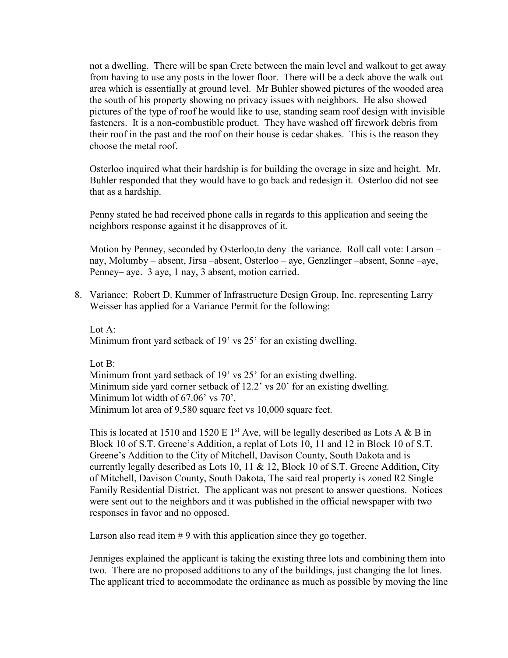not a dwelling. There will be span Crete between the main level and walkout to get away from having to use any posts in the lower floor. There will be a deck above the walk out area which is essentially at ground level. Mr Buhler showed pictures of the wooded area the south of his property showing no privacy issues with neighbors. He also showed pictures of the type of roof he would like to use, standing seam roof design with invisible fasteners. It is a non-combustible product. They have washed off firework debris from their roof in the past and the roof on their house is cedar shakes. This is the reason they choose the metal roof.

Osterloo inquired what their hardship is for building the overage in size and height. Mr. Buhler responded that they would have to go back and redesign it. Osterloo did not see that as a hardship.

Penny stated he had received phone calls in regards to this application and seeing the neighbors response against it he disapproves of it.

Motion by Penney, seconded by Osterloo,to deny the variance. Roll call vote: Larson – nay, Molumby – absent, Jirsa –absent, Osterloo – aye, Genzlinger –absent, Sonne –aye, Penney– aye. 3 aye, 1 nay, 3 absent, motion carried.

8. Variance: Robert D. Kummer of Infrastructure Design Group, Inc. representing Larry Weisser has applied for a Variance Permit for the following:

Lot A: Minimum front yard setback of 19' vs 25' for an existing dwelling.

Lot B:

Minimum front yard setback of 19' vs 25' for an existing dwelling. Minimum side yard corner setback of 12.2' vs 20' for an existing dwelling. Minimum lot width of 67.06' vs 70'. Minimum lot area of 9,580 square feet vs 10,000 square feet.

This is located at 1510 and 1520 E 1<sup>st</sup> Ave, will be legally described as Lots A & B in Block 10 of S.T. Greene's Addition, a replat of Lots 10, 11 and 12 in Block 10 of S.T. Greene's Addition to the City of Mitchell, Davison County, South Dakota and is currently legally described as Lots 10, 11 & 12, Block 10 of S.T. Greene Addition, City of Mitchell, Davison County, South Dakota, The said real property is zoned R2 Single Family Residential District. The applicant was not present to answer questions. Notices were sent out to the neighbors and it was published in the official newspaper with two responses in favor and no opposed.

Larson also read item  $# 9$  with this application since they go together.

Jenniges explained the applicant is taking the existing three lots and combining them into two. There are no proposed additions to any of the buildings, just changing the lot lines. The applicant tried to accommodate the ordinance as much as possible by moving the line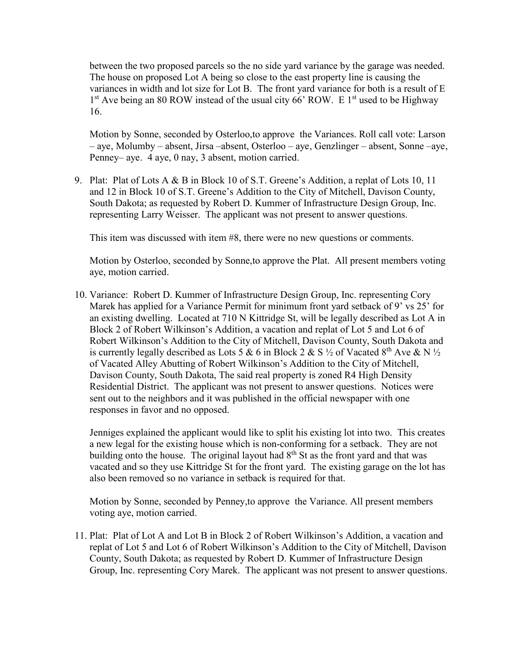between the two proposed parcels so the no side yard variance by the garage was needed. The house on proposed Lot A being so close to the east property line is causing the variances in width and lot size for Lot B. The front yard variance for both is a result of E  $1<sup>st</sup>$  Ave being an 80 ROW instead of the usual city 66' ROW. E  $1<sup>st</sup>$  used to be Highway 16.

Motion by Sonne, seconded by Osterloo,to approve the Variances. Roll call vote: Larson – aye, Molumby – absent, Jirsa –absent, Osterloo – aye, Genzlinger – absent, Sonne –aye, Penney– aye. 4 aye, 0 nay, 3 absent, motion carried.

9. Plat: Plat of Lots A & B in Block 10 of S.T. Greene's Addition, a replat of Lots 10, 11 and 12 in Block 10 of S.T. Greene's Addition to the City of Mitchell, Davison County, South Dakota; as requested by Robert D. Kummer of Infrastructure Design Group, Inc. representing Larry Weisser. The applicant was not present to answer questions.

This item was discussed with item #8, there were no new questions or comments.

Motion by Osterloo, seconded by Sonne,to approve the Plat. All present members voting aye, motion carried.

10. Variance: Robert D. Kummer of Infrastructure Design Group, Inc. representing Cory Marek has applied for a Variance Permit for minimum front yard setback of 9' vs 25' for an existing dwelling. Located at 710 N Kittridge St, will be legally described as Lot A in Block 2 of Robert Wilkinson's Addition, a vacation and replat of Lot 5 and Lot 6 of Robert Wilkinson's Addition to the City of Mitchell, Davison County, South Dakota and is currently legally described as Lots 5 & 6 in Block 2 & S  $\frac{1}{2}$  of Vacated 8<sup>th</sup> Ave & N  $\frac{1}{2}$ of Vacated Alley Abutting of Robert Wilkinson's Addition to the City of Mitchell, Davison County, South Dakota, The said real property is zoned R4 High Density Residential District. The applicant was not present to answer questions. Notices were sent out to the neighbors and it was published in the official newspaper with one responses in favor and no opposed.

Jenniges explained the applicant would like to split his existing lot into two. This creates a new legal for the existing house which is non-conforming for a setback. They are not building onto the house. The original layout had  $8<sup>th</sup>$  St as the front yard and that was vacated and so they use Kittridge St for the front yard. The existing garage on the lot has also been removed so no variance in setback is required for that.

Motion by Sonne, seconded by Penney,to approve the Variance. All present members voting aye, motion carried.

11. Plat: Plat of Lot A and Lot B in Block 2 of Robert Wilkinson's Addition, a vacation and replat of Lot 5 and Lot 6 of Robert Wilkinson's Addition to the City of Mitchell, Davison County, South Dakota; as requested by Robert D. Kummer of Infrastructure Design Group, Inc. representing Cory Marek. The applicant was not present to answer questions.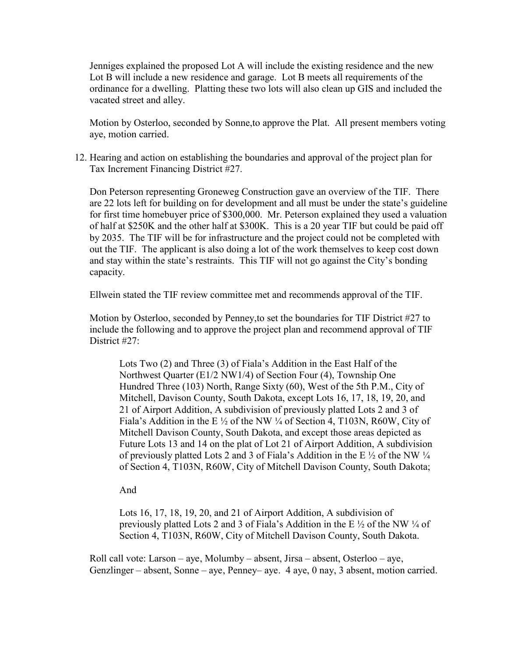Jenniges explained the proposed Lot A will include the existing residence and the new Lot B will include a new residence and garage. Lot B meets all requirements of the ordinance for a dwelling. Platting these two lots will also clean up GIS and included the vacated street and alley.

Motion by Osterloo, seconded by Sonne,to approve the Plat. All present members voting aye, motion carried.

12. Hearing and action on establishing the boundaries and approval of the project plan for Tax Increment Financing District #27.

Don Peterson representing Groneweg Construction gave an overview of the TIF. There are 22 lots left for building on for development and all must be under the state's guideline for first time homebuyer price of \$300,000. Mr. Peterson explained they used a valuation of half at \$250K and the other half at \$300K. This is a 20 year TIF but could be paid off by 2035. The TIF will be for infrastructure and the project could not be completed with out the TIF. The applicant is also doing a lot of the work themselves to keep cost down and stay within the state's restraints. This TIF will not go against the City's bonding capacity.

Ellwein stated the TIF review committee met and recommends approval of the TIF.

Motion by Osterloo, seconded by Penney,to set the boundaries for TIF District #27 to include the following and to approve the project plan and recommend approval of TIF District #27:

Lots Two (2) and Three (3) of Fiala's Addition in the East Half of the Northwest Quarter (E1/2 NW1/4) of Section Four (4), Township One Hundred Three (103) North, Range Sixty (60), West of the 5th P.M., City of Mitchell, Davison County, South Dakota, except Lots 16, 17, 18, 19, 20, and 21 of Airport Addition, A subdivision of previously platted Lots 2 and 3 of Fiala's Addition in the E ½ of the NW ¼ of Section 4, T103N, R60W, City of Mitchell Davison County, South Dakota, and except those areas depicted as Future Lots 13 and 14 on the plat of Lot 21 of Airport Addition, A subdivision of previously platted Lots 2 and 3 of Fiala's Addition in the E  $\frac{1}{2}$  of the NW  $\frac{1}{4}$ of Section 4, T103N, R60W, City of Mitchell Davison County, South Dakota;

And

Lots 16, 17, 18, 19, 20, and 21 of Airport Addition, A subdivision of previously platted Lots 2 and 3 of Fiala's Addition in the E ½ of the NW ¼ of Section 4, T103N, R60W, City of Mitchell Davison County, South Dakota.

Roll call vote: Larson – aye, Molumby – absent, Jirsa – absent, Osterloo – aye, Genzlinger – absent, Sonne – aye, Penney– aye. 4 aye, 0 nay, 3 absent, motion carried.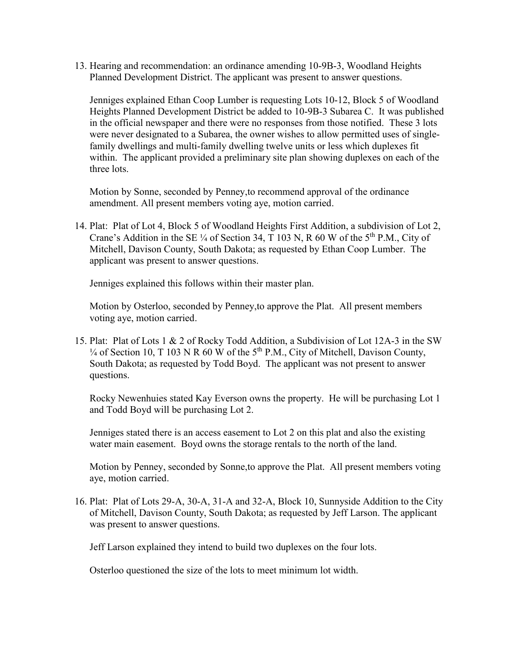13. Hearing and recommendation: an ordinance amending 10-9B-3, Woodland Heights Planned Development District. The applicant was present to answer questions.

Jenniges explained Ethan Coop Lumber is requesting Lots 10-12, Block 5 of Woodland Heights Planned Development District be added to 10-9B-3 Subarea C. It was published in the official newspaper and there were no responses from those notified. These 3 lots were never designated to a Subarea, the owner wishes to allow permitted uses of singlefamily dwellings and multi-family dwelling twelve units or less which duplexes fit within. The applicant provided a preliminary site plan showing duplexes on each of the three lots.

Motion by Sonne, seconded by Penney,to recommend approval of the ordinance amendment. All present members voting aye, motion carried.

14. Plat: Plat of Lot 4, Block 5 of Woodland Heights First Addition, a subdivision of Lot 2, Crane's Addition in the SE  $\frac{1}{4}$  of Section 34, T 103 N, R 60 W of the 5<sup>th</sup> P.M., City of Mitchell, Davison County, South Dakota; as requested by Ethan Coop Lumber. The applicant was present to answer questions.

Jenniges explained this follows within their master plan.

Motion by Osterloo, seconded by Penney,to approve the Plat. All present members voting aye, motion carried.

15. Plat: Plat of Lots 1 & 2 of Rocky Todd Addition, a Subdivision of Lot 12A-3 in the SW  $\frac{1}{4}$  of Section 10, T 103 N R 60 W of the 5<sup>th</sup> P.M., City of Mitchell, Davison County, South Dakota; as requested by Todd Boyd. The applicant was not present to answer questions.

Rocky Newenhuies stated Kay Everson owns the property. He will be purchasing Lot 1 and Todd Boyd will be purchasing Lot 2.

Jenniges stated there is an access easement to Lot 2 on this plat and also the existing water main easement. Boyd owns the storage rentals to the north of the land.

Motion by Penney, seconded by Sonne,to approve the Plat. All present members voting aye, motion carried.

16. Plat: Plat of Lots 29-A, 30-A, 31-A and 32-A, Block 10, Sunnyside Addition to the City of Mitchell, Davison County, South Dakota; as requested by Jeff Larson. The applicant was present to answer questions.

Jeff Larson explained they intend to build two duplexes on the four lots.

Osterloo questioned the size of the lots to meet minimum lot width.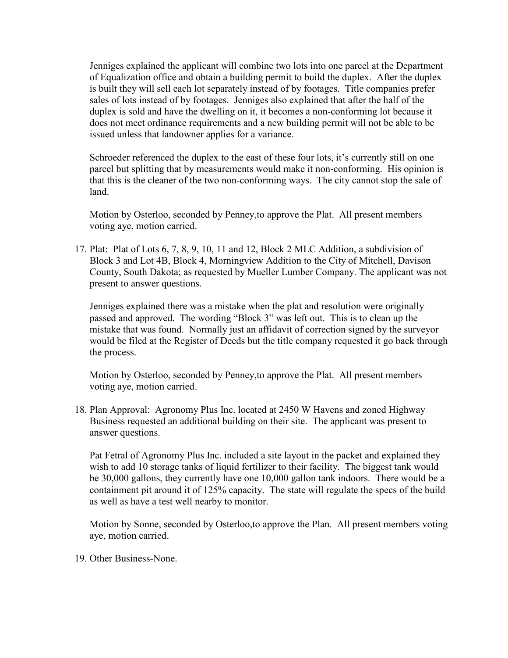Jenniges explained the applicant will combine two lots into one parcel at the Department of Equalization office and obtain a building permit to build the duplex. After the duplex is built they will sell each lot separately instead of by footages. Title companies prefer sales of lots instead of by footages. Jenniges also explained that after the half of the duplex is sold and have the dwelling on it, it becomes a non-conforming lot because it does not meet ordinance requirements and a new building permit will not be able to be issued unless that landowner applies for a variance.

Schroeder referenced the duplex to the east of these four lots, it's currently still on one parcel but splitting that by measurements would make it non-conforming. His opinion is that this is the cleaner of the two non-conforming ways. The city cannot stop the sale of land.

Motion by Osterloo, seconded by Penney,to approve the Plat. All present members voting aye, motion carried.

17. Plat: Plat of Lots 6, 7, 8, 9, 10, 11 and 12, Block 2 MLC Addition, a subdivision of Block 3 and Lot 4B, Block 4, Morningview Addition to the City of Mitchell, Davison County, South Dakota; as requested by Mueller Lumber Company. The applicant was not present to answer questions.

Jenniges explained there was a mistake when the plat and resolution were originally passed and approved. The wording "Block 3" was left out. This is to clean up the mistake that was found. Normally just an affidavit of correction signed by the surveyor would be filed at the Register of Deeds but the title company requested it go back through the process.

Motion by Osterloo, seconded by Penney,to approve the Plat. All present members voting aye, motion carried.

18. Plan Approval: Agronomy Plus Inc. located at 2450 W Havens and zoned Highway Business requested an additional building on their site. The applicant was present to answer questions.

Pat Fetral of Agronomy Plus Inc. included a site layout in the packet and explained they wish to add 10 storage tanks of liquid fertilizer to their facility. The biggest tank would be 30,000 gallons, they currently have one 10,000 gallon tank indoors. There would be a containment pit around it of 125% capacity. The state will regulate the specs of the build as well as have a test well nearby to monitor.

Motion by Sonne, seconded by Osterloo,to approve the Plan. All present members voting aye, motion carried.

19. Other Business-None.